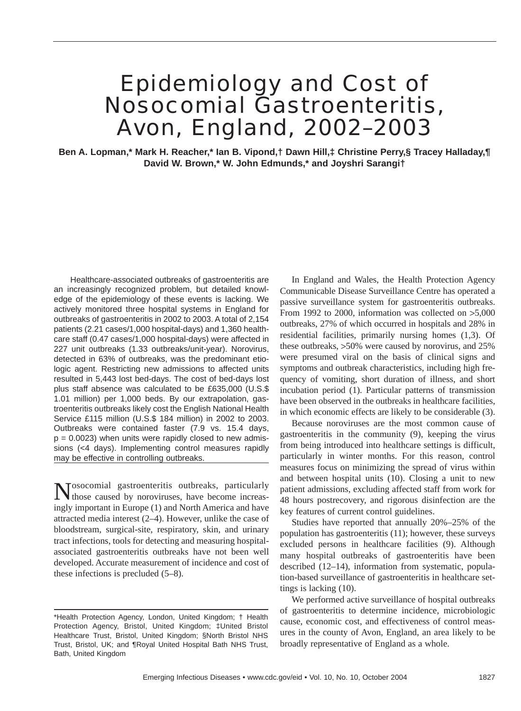# Epidemiology and Cost of Nosocomial Gastroenteritis, Avon, England, 2002–2003

**Ben A. Lopman,\* Mark H. Reacher,\* Ian B. Vipond,† Dawn Hill,‡ Christine Perry,§ Tracey Halladay,¶ David W. Brown,\* W. John Edmunds,\* and Joyshri Sarangi†**

Healthcare-associated outbreaks of gastroenteritis are an increasingly recognized problem, but detailed knowledge of the epidemiology of these events is lacking. We actively monitored three hospital systems in England for outbreaks of gastroenteritis in 2002 to 2003. A total of 2,154 patients (2.21 cases/1,000 hospital-days) and 1,360 healthcare staff (0.47 cases/1,000 hospital-days) were affected in 227 unit outbreaks (1.33 outbreaks/unit-year). Norovirus, detected in 63% of outbreaks, was the predominant etiologic agent. Restricting new admissions to affected units resulted in 5,443 lost bed-days. The cost of bed-days lost plus staff absence was calculated to be £635,000 (U.S.\$ 1.01 million) per 1,000 beds. By our extrapolation, gastroenteritis outbreaks likely cost the English National Health Service £115 million (U.S.\$ 184 million) in 2002 to 2003. Outbreaks were contained faster (7.9 vs. 15.4 days,  $p = 0.0023$ ) when units were rapidly closed to new admissions (<4 days). Implementing control measures rapidly may be effective in controlling outbreaks.

Nosocomial gastroenteritis outbreaks, particularly those caused by noroviruses, have become increasingly important in Europe (1) and North America and have attracted media interest (2–4). However, unlike the case of bloodstream, surgical-site, respiratory, skin, and urinary tract infections, tools for detecting and measuring hospitalassociated gastroenteritis outbreaks have not been well developed. Accurate measurement of incidence and cost of these infections is precluded (5–8).

In England and Wales, the Health Protection Agency Communicable Disease Surveillance Centre has operated a passive surveillance system for gastroenteritis outbreaks. From 1992 to 2000, information was collected on >5,000 outbreaks, 27% of which occurred in hospitals and 28% in residential facilities, primarily nursing homes (1,3). Of these outbreaks, >50% were caused by norovirus, and 25% were presumed viral on the basis of clinical signs and symptoms and outbreak characteristics, including high frequency of vomiting, short duration of illness, and short incubation period (1). Particular patterns of transmission have been observed in the outbreaks in healthcare facilities, in which economic effects are likely to be considerable (3).

Because noroviruses are the most common cause of gastroenteritis in the community (9), keeping the virus from being introduced into healthcare settings is difficult, particularly in winter months. For this reason, control measures focus on minimizing the spread of virus within and between hospital units (10). Closing a unit to new patient admissions, excluding affected staff from work for 48 hours postrecovery, and rigorous disinfection are the key features of current control guidelines.

Studies have reported that annually 20%–25% of the population has gastroenteritis (11); however, these surveys excluded persons in healthcare facilities (9). Although many hospital outbreaks of gastroenteritis have been described (12–14), information from systematic, population-based surveillance of gastroenteritis in healthcare settings is lacking (10).

We performed active surveillance of hospital outbreaks of gastroenteritis to determine incidence, microbiologic cause, economic cost, and effectiveness of control measures in the county of Avon, England, an area likely to be broadly representative of England as a whole.

<sup>\*</sup>Health Protection Agency, London, United Kingdom; † Health Protection Agency, Bristol, United Kingdom; ‡United Bristol Healthcare Trust, Bristol, United Kingdom; §North Bristol NHS Trust, Bristol, UK; and ¶Royal United Hospital Bath NHS Trust, Bath, United Kingdom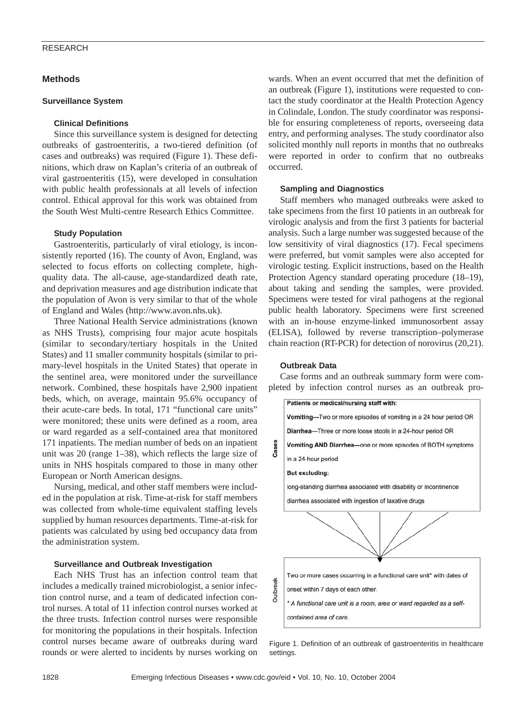# RESEARCH

# **Methods**

#### **Surveillance System**

# **Clinical Definitions**

Since this surveillance system is designed for detecting outbreaks of gastroenteritis, a two-tiered definition (of cases and outbreaks) was required (Figure 1). These definitions, which draw on Kaplan's criteria of an outbreak of viral gastroenteritis (15), were developed in consultation with public health professionals at all levels of infection control. Ethical approval for this work was obtained from the South West Multi-centre Research Ethics Committee.

#### **Study Population**

Gastroenteritis, particularly of viral etiology, is inconsistently reported (16). The county of Avon, England, was selected to focus efforts on collecting complete, highquality data. The all-cause, age-standardized death rate, and deprivation measures and age distribution indicate that the population of Avon is very similar to that of the whole of England and Wales (http://www.avon.nhs.uk).

Three National Health Service administrations (known as NHS Trusts), comprising four major acute hospitals (similar to secondary/tertiary hospitals in the United States) and 11 smaller community hospitals (similar to primary-level hospitals in the United States) that operate in the sentinel area, were monitored under the surveillance network. Combined, these hospitals have 2,900 inpatient beds, which, on average, maintain 95.6% occupancy of their acute-care beds. In total, 171 "functional care units" were monitored; these units were defined as a room, area or ward regarded as a self-contained area that monitored 171 inpatients. The median number of beds on an inpatient unit was 20 (range 1–38), which reflects the large size of units in NHS hospitals compared to those in many other European or North American designs.

Nursing, medical, and other staff members were included in the population at risk. Time-at-risk for staff members was collected from whole-time equivalent staffing levels supplied by human resources departments. Time-at-risk for patients was calculated by using bed occupancy data from the administration system.

#### **Surveillance and Outbreak Investigation**

Each NHS Trust has an infection control team that includes a medically trained microbiologist, a senior infection control nurse, and a team of dedicated infection control nurses. A total of 11 infection control nurses worked at the three trusts. Infection control nurses were responsible for monitoring the populations in their hospitals. Infection control nurses became aware of outbreaks during ward rounds or were alerted to incidents by nurses working on

wards. When an event occurred that met the definition of an outbreak (Figure 1), institutions were requested to contact the study coordinator at the Health Protection Agency in Colindale, London. The study coordinator was responsible for ensuring completeness of reports, overseeing data entry, and performing analyses. The study coordinator also solicited monthly null reports in months that no outbreaks were reported in order to confirm that no outbreaks occurred.

#### **Sampling and Diagnostics**

Staff members who managed outbreaks were asked to take specimens from the first 10 patients in an outbreak for virologic analysis and from the first 3 patients for bacterial analysis. Such a large number was suggested because of the low sensitivity of viral diagnostics (17). Fecal specimens were preferred, but vomit samples were also accepted for virologic testing. Explicit instructions, based on the Health Protection Agency standard operating procedure (18–19), about taking and sending the samples, were provided. Specimens were tested for viral pathogens at the regional public health laboratory. Specimens were first screened with an in-house enzyme-linked immunosorbent assay (ELISA), followed by reverse transcription–polymerase chain reaction (RT-PCR) for detection of norovirus (20,21).

## **Outbreak Data**

Case forms and an outbreak summary form were completed by infection control nurses as an outbreak pro-



\* A functional care unit is a room, area or ward regarded as a self-

contained area of care.

Figure 1. Definition of an outbreak of gastroenteritis in healthcare settings.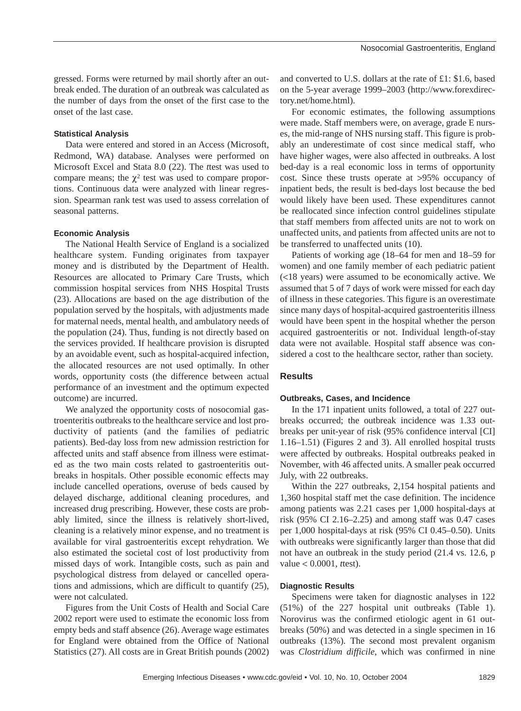gressed. Forms were returned by mail shortly after an outbreak ended. The duration of an outbreak was calculated as the number of days from the onset of the first case to the onset of the last case.

# **Statistical Analysis**

Data were entered and stored in an Access (Microsoft, Redmond, WA) database. Analyses were performed on Microsoft Excel and Stata 8.0 (22). The *t*test was used to compare means; the  $\chi^2$  test was used to compare proportions. Continuous data were analyzed with linear regression. Spearman rank test was used to assess correlation of seasonal patterns.

#### **Economic Analysis**

The National Health Service of England is a socialized healthcare system. Funding originates from taxpayer money and is distributed by the Department of Health. Resources are allocated to Primary Care Trusts, which commission hospital services from NHS Hospital Trusts (23). Allocations are based on the age distribution of the population served by the hospitals, with adjustments made for maternal needs, mental health, and ambulatory needs of the population (24). Thus, funding is not directly based on the services provided. If healthcare provision is disrupted by an avoidable event, such as hospital-acquired infection, the allocated resources are not used optimally. In other words, opportunity costs (the difference between actual performance of an investment and the optimum expected outcome) are incurred.

We analyzed the opportunity costs of nosocomial gastroenteritis outbreaks to the healthcare service and lost productivity of patients (and the families of pediatric patients). Bed-day loss from new admission restriction for affected units and staff absence from illness were estimated as the two main costs related to gastroenteritis outbreaks in hospitals. Other possible economic effects may include cancelled operations, overuse of beds caused by delayed discharge, additional cleaning procedures, and increased drug prescribing. However, these costs are probably limited, since the illness is relatively short-lived, cleaning is a relatively minor expense, and no treatment is available for viral gastroenteritis except rehydration. We also estimated the societal cost of lost productivity from missed days of work. Intangible costs, such as pain and psychological distress from delayed or cancelled operations and admissions, which are difficult to quantify (25), were not calculated.

Figures from the Unit Costs of Health and Social Care 2002 report were used to estimate the economic loss from empty beds and staff absence (26). Average wage estimates for England were obtained from the Office of National Statistics (27). All costs are in Great British pounds (2002)

and converted to U.S. dollars at the rate of £1: \$1.6, based on the 5-year average 1999–2003 (http://www.forexdirectory.net/home.html).

For economic estimates, the following assumptions were made. Staff members were, on average, grade E nurses, the mid-range of NHS nursing staff. This figure is probably an underestimate of cost since medical staff, who have higher wages, were also affected in outbreaks. A lost bed-day is a real economic loss in terms of opportunity cost. Since these trusts operate at >95% occupancy of inpatient beds, the result is bed-days lost because the bed would likely have been used. These expenditures cannot be reallocated since infection control guidelines stipulate that staff members from affected units are not to work on unaffected units, and patients from affected units are not to be transferred to unaffected units (10).

Patients of working age (18–64 for men and 18–59 for women) and one family member of each pediatric patient (<18 years) were assumed to be economically active. We assumed that 5 of 7 days of work were missed for each day of illness in these categories. This figure is an overestimate since many days of hospital-acquired gastroenteritis illness would have been spent in the hospital whether the person acquired gastroenteritis or not. Individual length-of-stay data were not available. Hospital staff absence was considered a cost to the healthcare sector, rather than society.

# **Results**

## **Outbreaks, Cases, and Incidence**

In the 171 inpatient units followed, a total of 227 outbreaks occurred; the outbreak incidence was 1.33 outbreaks per unit-year of risk (95% confidence interval [CI] 1.16–1.51) (Figures 2 and 3). All enrolled hospital trusts were affected by outbreaks. Hospital outbreaks peaked in November, with 46 affected units. A smaller peak occurred July, with 22 outbreaks.

Within the 227 outbreaks, 2,154 hospital patients and 1,360 hospital staff met the case definition. The incidence among patients was 2.21 cases per 1,000 hospital-days at risk (95% CI 2.16–2.25) and among staff was 0.47 cases per 1,000 hospital-days at risk (95% CI 0.45–0.50). Units with outbreaks were significantly larger than those that did not have an outbreak in the study period (21.4 vs. 12.6, p value < 0.0001, *t*test).

#### **Diagnostic Results**

Specimens were taken for diagnostic analyses in 122 (51%) of the 227 hospital unit outbreaks (Table 1). Norovirus was the confirmed etiologic agent in 61 outbreaks (50%) and was detected in a single specimen in 16 outbreaks (13%). The second most prevalent organism was *Clostridium difficile*, which was confirmed in nine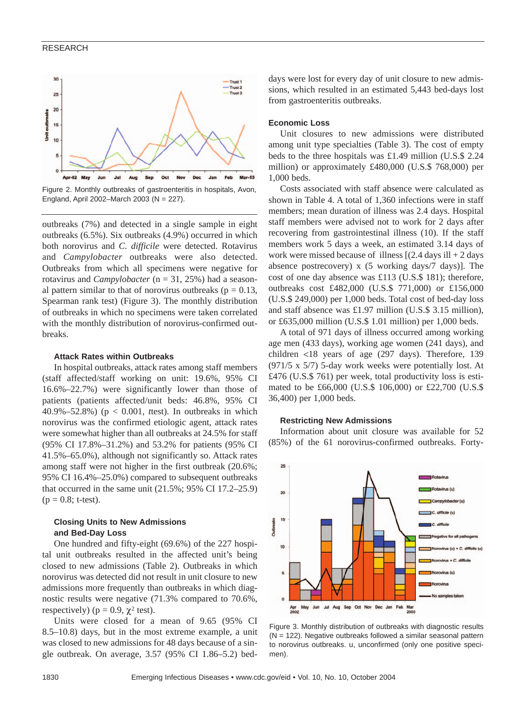

Figure 2. Monthly outbreaks of gastroenteritis in hospitals, Avon, England, April 2002–March 2003 (N = 227).

outbreaks (7%) and detected in a single sample in eight outbreaks (6.5%). Six outbreaks (4.9%) occurred in which both norovirus and *C. difficile* were detected. Rotavirus and *Campylobacter* outbreaks were also detected. Outbreaks from which all specimens were negative for rotavirus and *Campylobacter* (n = 31, 25%) had a seasonal pattern similar to that of norovirus outbreaks ( $p = 0.13$ , Spearman rank test) (Figure 3). The monthly distribution of outbreaks in which no specimens were taken correlated with the monthly distribution of norovirus-confirmed outbreaks.

#### **Attack Rates within Outbreaks**

In hospital outbreaks, attack rates among staff members (staff affected/staff working on unit: 19.6%, 95% CI 16.6%–22.7%) were significantly lower than those of patients (patients affected/unit beds: 46.8%, 95% CI 40.9%–52.8%) (p < 0.001, *t*test). In outbreaks in which norovirus was the confirmed etiologic agent, attack rates were somewhat higher than all outbreaks at 24.5% for staff (95% CI 17.8%–31.2%) and 53.2% for patients (95% CI 41.5%–65.0%), although not significantly so. Attack rates among staff were not higher in the first outbreak (20.6%; 95% CI 16.4%–25.0%) compared to subsequent outbreaks that occurred in the same unit (21.5%; 95% CI 17.2–25.9)  $(p = 0.8; t-test).$ 

# **Closing Units to New Admissions and Bed-Day Loss**

One hundred and fifty-eight (69.6%) of the 227 hospital unit outbreaks resulted in the affected unit's being closed to new admissions (Table 2). Outbreaks in which norovirus was detected did not result in unit closure to new admissions more frequently than outbreaks in which diagnostic results were negative (71.3% compared to 70.6%, respectively) ( $p = 0.9$ ,  $\chi^2$  test).

Units were closed for a mean of 9.65 (95% CI 8.5–10.8) days, but in the most extreme example, a unit was closed to new admissions for 48 days because of a single outbreak. On average, 3.57 (95% CI 1.86–5.2) beddays were lost for every day of unit closure to new admissions, which resulted in an estimated 5,443 bed-days lost from gastroenteritis outbreaks.

# **Economic Loss**

Unit closures to new admissions were distributed among unit type specialties (Table 3). The cost of empty beds to the three hospitals was £1.49 million (U.S.\$ 2.24 million) or approximately £480,000 (U.S.\$ 768,000) per 1,000 beds.

Costs associated with staff absence were calculated as shown in Table 4. A total of 1,360 infections were in staff members; mean duration of illness was 2.4 days. Hospital staff members were advised not to work for 2 days after recovering from gastrointestinal illness (10). If the staff members work 5 days a week, an estimated 3.14 days of work were missed because of illness  $[(2.4 \text{ days ill} + 2 \text{ days}$ absence postrecovery) x (5 working days/7 days)]. The cost of one day absence was £113 (U.S.\$ 181); therefore, outbreaks cost £482,000 (U.S.\$ 771,000) or £156,000 (U.S.\$ 249,000) per 1,000 beds. Total cost of bed-day loss and staff absence was £1.97 million (U.S.\$ 3.15 million), or £635,000 million (U.S.\$ 1.01 million) per 1,000 beds.

A total of 971 days of illness occurred among working age men (433 days), working age women (241 days), and children <18 years of age (297 days). Therefore, 139 (971/5 x 5/7) 5-day work weeks were potentially lost. At £476 (U.S.\$ 761) per week, total productivity loss is estimated to be £66,000 (U.S.\$ 106,000) or £22,700 (U.S.\$ 36,400) per 1,000 beds.

#### **Restricting New Admissions**

Information about unit closure was available for 52 (85%) of the 61 norovirus-confirmed outbreaks. Forty-



Figure 3. Monthly distribution of outbreaks with diagnostic results  $(N = 122)$ . Negative outbreaks followed a similar seasonal pattern to norovirus outbreaks. u, unconfirmed (only one positive specimen).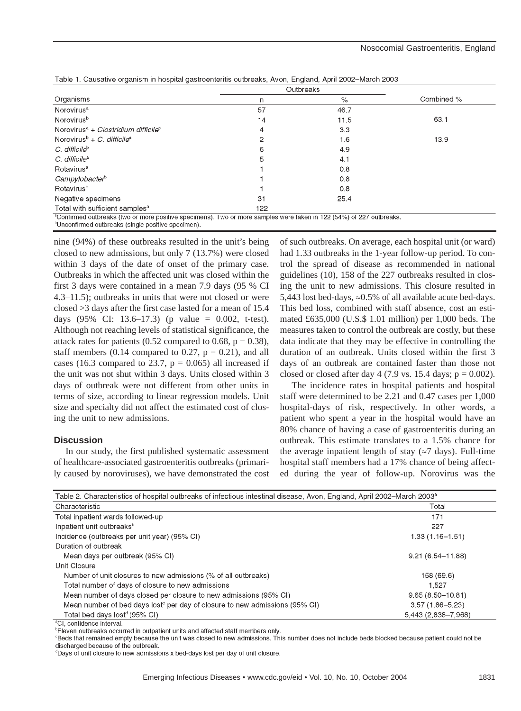|                                                                                                                                  | Outbreaks |      |            |
|----------------------------------------------------------------------------------------------------------------------------------|-----------|------|------------|
| Organisms                                                                                                                        | n         | %    | Combined % |
| Norovirus <sup>a</sup>                                                                                                           | 57        | 46.7 |            |
| Norovirus <sup>b</sup>                                                                                                           | 14        | 11.5 | 63.1       |
| Norovirus <sup>a</sup> + <i>Clostridium difficile</i> <sup>c</sup>                                                               | 4         | 3.3  |            |
| Norovirus <sup>b</sup> + C. difficile <sup>a</sup>                                                                               |           | 1.6  | 13.9       |
| C. difficile <sup>b</sup>                                                                                                        | ഒ         | 4.9  |            |
| C. difficile <sup>a</sup>                                                                                                        | b         | 4.1  |            |
| Rotavirus <sup>a</sup>                                                                                                           |           | 0.8  |            |
| Campylobacterb                                                                                                                   |           | 0.8  |            |
| Rotavirus <sup>b</sup>                                                                                                           |           | 0.8  |            |
| Negative specimens                                                                                                               | 31        | 25.4 |            |
| Total with sufficient samples <sup>a</sup>                                                                                       | 122       |      |            |
| <sup>a</sup> Confirmed outbreaks (two or more positive specimens). Two or more samples were taken in 122 (54%) of 227 outbreaks. |           |      |            |

Table 1. Causative organism in bosnital gestroepteritis outbreaks. Avon. England, April 2002-March 2003

<sup>b</sup>Unconfirmed outbreaks (single positive specimen).

nine (94%) of these outbreaks resulted in the unit's being closed to new admissions, but only 7 (13.7%) were closed within 3 days of the date of onset of the primary case. Outbreaks in which the affected unit was closed within the first 3 days were contained in a mean 7.9 days (95 % CI 4.3–11.5); outbreaks in units that were not closed or were closed >3 days after the first case lasted for a mean of 15.4 days (95% CI: 13.6–17.3) (p value = 0.002, t-test). Although not reaching levels of statistical significance, the attack rates for patients (0.52 compared to 0.68,  $p = 0.38$ ), staff members (0.14 compared to 0.27,  $p = 0.21$ ), and all cases (16.3 compared to 23.7,  $p = 0.065$ ) all increased if the unit was not shut within 3 days. Units closed within 3 days of outbreak were not different from other units in terms of size, according to linear regression models. Unit size and specialty did not affect the estimated cost of closing the unit to new admissions.

# **Discussion**

In our study, the first published systematic assessment of healthcare-associated gastroenteritis outbreaks (primarily caused by noroviruses), we have demonstrated the cost of such outbreaks. On average, each hospital unit (or ward) had 1.33 outbreaks in the 1-year follow-up period. To control the spread of disease as recommended in national guidelines (10), 158 of the 227 outbreaks resulted in closing the unit to new admissions. This closure resulted in 5,443 lost bed-days, ≈0.5% of all available acute bed-days. This bed loss, combined with staff absence, cost an estimated £635,000 (U.S.\$ 1.01 million) per 1,000 beds. The measures taken to control the outbreak are costly, but these data indicate that they may be effective in controlling the duration of an outbreak. Units closed within the first 3 days of an outbreak are contained faster than those not closed or closed after day 4 (7.9 vs. 15.4 days;  $p = 0.002$ ).

The incidence rates in hospital patients and hospital staff were determined to be 2.21 and 0.47 cases per 1,000 hospital-days of risk, respectively. In other words, a patient who spent a year in the hospital would have an 80% chance of having a case of gastroenteritis during an outbreak. This estimate translates to a 1.5% chance for the average inpatient length of stay  $(\approx 7 \text{ days})$ . Full-time hospital staff members had a 17% chance of being affected during the year of follow-up. Norovirus was the

| Table 2. Characteristics of hospital outbreaks of infectious intestinal disease, Avon, England, April 2002–March 2003 <sup>a</sup> |                      |  |  |
|------------------------------------------------------------------------------------------------------------------------------------|----------------------|--|--|
| Characteristic                                                                                                                     | Total                |  |  |
| Total inpatient wards followed-up                                                                                                  | 171                  |  |  |
| Inpatient unit outbreaks <sup>b</sup>                                                                                              | 227                  |  |  |
| Incidence (outbreaks per unit year) (95% CI)                                                                                       | $1.33(1.16 - 1.51)$  |  |  |
| Duration of outbreak                                                                                                               |                      |  |  |
| Mean days per outbreak (95% CI)                                                                                                    | $9.21(6.54 - 11.88)$ |  |  |
| Unit Closure                                                                                                                       |                      |  |  |
| Number of unit closures to new admissions (% of all outbreaks)                                                                     | 158 (69.6)           |  |  |
| Total number of days of closure to new admissions                                                                                  | 1.527                |  |  |
| Mean number of days closed per closure to new admissions (95% CI)                                                                  | $9.65(8.50 - 10.81)$ |  |  |
| Mean number of bed days lost <sup>c</sup> per day of closure to new admissions (95% CI)                                            | $3.57(1.86 - 5.23)$  |  |  |
| Total bed days lost <sup>d</sup> (95% CI)                                                                                          | 5,443 (2,838-7,968)  |  |  |

<sup>a</sup>CI. confidence interval.

 $^{\circ}$ Eleven outbreaks occurred in outpatient units and affected staff members only.

<sup>e</sup>Beds that remained empty because the unit was closed to new admissions. This number does not include beds blocked because patient could not be discharged because of the outbreak.

<sup>d</sup>Days of unit closure to new admissions x bed-days lost per day of unit closure.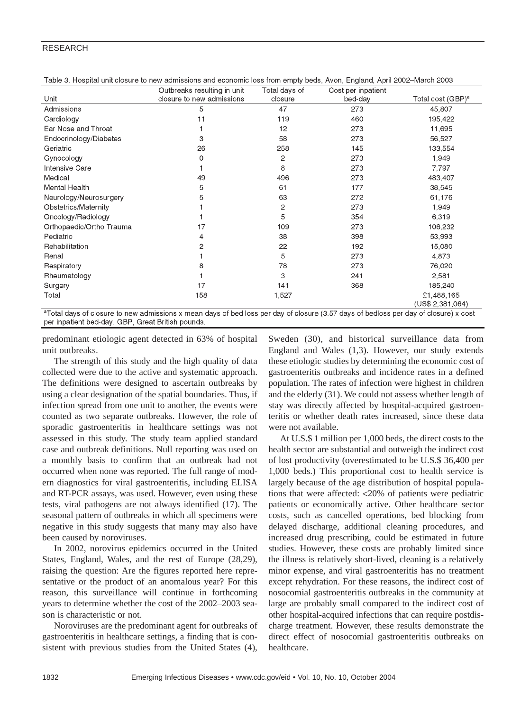# RESEARCH

|                          | Table 3. Hospital unit closule to hew admissions and economic loss from empty beds, Avon, England, Aphi 2002–March 2003<br>Outbreaks resulting in unit | Total days of | Cost per inpatient |                                |
|--------------------------|--------------------------------------------------------------------------------------------------------------------------------------------------------|---------------|--------------------|--------------------------------|
| Unit                     | closure to new admissions                                                                                                                              | closure       | bed-day            | Total cost (GBP) <sup>a</sup>  |
| Admissions               | 5                                                                                                                                                      | 47            | 273                | 45,807                         |
| Cardiology               | 11                                                                                                                                                     | 119           | 460                | 195,422                        |
| Ear Nose and Throat      |                                                                                                                                                        | 12            | 273                | 11,695                         |
| Endocrinology/Diabetes   | 3                                                                                                                                                      | 58            | 273                | 56,527                         |
| Geriatric                | 26                                                                                                                                                     | 258           | 145                | 133,554                        |
| Gynocology               | 0                                                                                                                                                      | 2             | 273                | 1,949                          |
| Intensive Care           |                                                                                                                                                        | 8             | 273                | 7,797                          |
| Medical                  | 49                                                                                                                                                     | 496           | 273                | 483,407                        |
| Mental Health            | 5                                                                                                                                                      | 61            | 177                | 38,545                         |
| Neurology/Neurosurgery   | 5                                                                                                                                                      | 63            | 272                | 61,176                         |
| Obstetrics/Maternity     |                                                                                                                                                        | 2             | 273                | 1,949                          |
| Oncology/Radiology       |                                                                                                                                                        | 5             | 354                | 6,319                          |
| Orthopaedic/Ortho Trauma | 17                                                                                                                                                     | 109           | 273                | 106,232                        |
| Pediatric                | 4                                                                                                                                                      | 38            | 398                | 53,993                         |
| Rehabilitation           | 2                                                                                                                                                      | 22            | 192                | 15,080                         |
| Renal                    |                                                                                                                                                        | 5             | 273                | 4,873                          |
| Respiratory              | 8                                                                                                                                                      | 78            | 273                | 76,020                         |
| Rheumatology             |                                                                                                                                                        | 3             | 241                | 2,581                          |
| Surgery                  | 17                                                                                                                                                     | 141           | 368                | 185,240                        |
| Total                    | 158                                                                                                                                                    | 1,527         |                    | £1,488,165<br>(US\$ 2,381,064) |

Toble 2. Hoepital unit elecute to now admissions from ampty hade Aven England April 2002 March 2000

aTotal days of closure to new admissions x mean days of bed loss per day of closure (3.57 days of bedloss per day of closure) x cost per inpatient bed-day. GBP, Great British pounds.

predominant etiologic agent detected in 63% of hospital unit outbreaks.

The strength of this study and the high quality of data collected were due to the active and systematic approach. The definitions were designed to ascertain outbreaks by using a clear designation of the spatial boundaries. Thus, if infection spread from one unit to another, the events were counted as two separate outbreaks. However, the role of sporadic gastroenteritis in healthcare settings was not assessed in this study. The study team applied standard case and outbreak definitions. Null reporting was used on a monthly basis to confirm that an outbreak had not occurred when none was reported. The full range of modern diagnostics for viral gastroenteritis, including ELISA and RT-PCR assays, was used. However, even using these tests, viral pathogens are not always identified (17). The seasonal pattern of outbreaks in which all specimens were negative in this study suggests that many may also have been caused by noroviruses.

In 2002, norovirus epidemics occurred in the United States, England, Wales, and the rest of Europe (28,29), raising the question: Are the figures reported here representative or the product of an anomalous year? For this reason, this surveillance will continue in forthcoming years to determine whether the cost of the 2002–2003 season is characteristic or not.

Noroviruses are the predominant agent for outbreaks of gastroenteritis in healthcare settings, a finding that is consistent with previous studies from the United States (4),

Sweden (30), and historical surveillance data from England and Wales (1,3). However, our study extends these etiologic studies by determining the economic cost of gastroenteritis outbreaks and incidence rates in a defined population. The rates of infection were highest in children and the elderly (31). We could not assess whether length of stay was directly affected by hospital-acquired gastroenteritis or whether death rates increased, since these data were not available.

At U.S.\$ 1 million per 1,000 beds, the direct costs to the health sector are substantial and outweigh the indirect cost of lost productivity (overestimated to be U.S.\$ 36,400 per 1,000 beds.) This proportional cost to health service is largely because of the age distribution of hospital populations that were affected: <20% of patients were pediatric patients or economically active. Other healthcare sector costs, such as cancelled operations, bed blocking from delayed discharge, additional cleaning procedures, and increased drug prescribing, could be estimated in future studies. However, these costs are probably limited since the illness is relatively short-lived, cleaning is a relatively minor expense, and viral gastroenteritis has no treatment except rehydration. For these reasons, the indirect cost of nosocomial gastroenteritis outbreaks in the community at large are probably small compared to the indirect cost of other hospital-acquired infections that can require postdischarge treatment. However, these results demonstrate the direct effect of nosocomial gastroenteritis outbreaks on healthcare.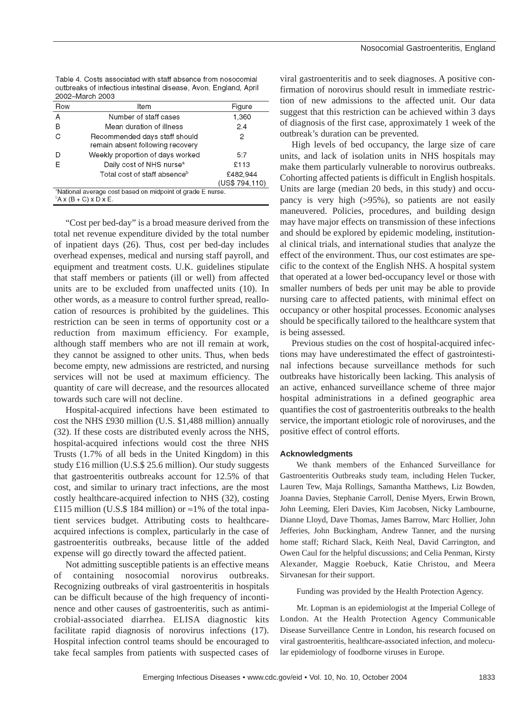|  | Nosocomial Gastroenteritis, England |  |
|--|-------------------------------------|--|
|--|-------------------------------------|--|

| Table 4. Costs associated with staff absence from nosocomial     |
|------------------------------------------------------------------|
| outbreaks of infectious intestinal disease, Avon, England, April |
| 2002-March 2003                                                  |

| Row                                                                    | Item                                                              | Figure         |  |
|------------------------------------------------------------------------|-------------------------------------------------------------------|----------------|--|
| A                                                                      | Number of staff cases                                             | 1,360          |  |
| В                                                                      | Mean duration of illness                                          | 2.4            |  |
| С                                                                      | Recommended days staff should<br>remain absent following recovery | 2              |  |
| D                                                                      | Weekly proportion of days worked                                  | 5.7            |  |
| F                                                                      | Daily cost of NHS nurse <sup>a</sup>                              | £113           |  |
|                                                                        | Total cost of staff absence <sup>b</sup>                          | £482.944       |  |
|                                                                        |                                                                   | (US\$ 794,110) |  |
| <sup>a</sup> National average cost based on midpoint of grade E nurse. |                                                                   |                |  |
|                                                                        | $\mathbb{P}$ A x (B + C) x D x E.                                 |                |  |

"Cost per bed-day" is a broad measure derived from the total net revenue expenditure divided by the total number of inpatient days (26). Thus, cost per bed-day includes overhead expenses, medical and nursing staff payroll, and equipment and treatment costs. U.K. guidelines stipulate that staff members or patients (ill or well) from affected units are to be excluded from unaffected units (10). In other words, as a measure to control further spread, reallocation of resources is prohibited by the guidelines. This restriction can be seen in terms of opportunity cost or a reduction from maximum efficiency. For example, although staff members who are not ill remain at work, they cannot be assigned to other units. Thus, when beds become empty, new admissions are restricted, and nursing services will not be used at maximum efficiency. The quantity of care will decrease, and the resources allocated towards such care will not decline.

Hospital-acquired infections have been estimated to cost the NHS £930 million (U.S. \$1,488 million) annually (32). If these costs are distributed evenly across the NHS, hospital-acquired infections would cost the three NHS Trusts (1.7% of all beds in the United Kingdom) in this study £16 million (U.S.\$ 25.6 million). Our study suggests that gastroenteritis outbreaks account for 12.5% of that cost, and similar to urinary tract infections, are the most costly healthcare-acquired infection to NHS (32), costing £115 million (U.S.\$ 184 million) or ≈1% of the total inpatient services budget. Attributing costs to healthcareacquired infections is complex, particularly in the case of gastroenteritis outbreaks, because little of the added expense will go directly toward the affected patient.

Not admitting susceptible patients is an effective means of containing nosocomial norovirus outbreaks. Recognizing outbreaks of viral gastroenteritis in hospitals can be difficult because of the high frequency of incontinence and other causes of gastroenteritis, such as antimicrobial-associated diarrhea. ELISA diagnostic kits facilitate rapid diagnosis of norovirus infections (17). Hospital infection control teams should be encouraged to take fecal samples from patients with suspected cases of viral gastroenteritis and to seek diagnoses. A positive confirmation of norovirus should result in immediate restriction of new admissions to the affected unit. Our data suggest that this restriction can be achieved within 3 days of diagnosis of the first case, approximately 1 week of the outbreak's duration can be prevented.

High levels of bed occupancy, the large size of care units, and lack of isolation units in NHS hospitals may make them particularly vulnerable to norovirus outbreaks. Cohorting affected patients is difficult in English hospitals. Units are large (median 20 beds, in this study) and occupancy is very high (>95%), so patients are not easily maneuvered. Policies, procedures, and building design may have major effects on transmission of these infections and should be explored by epidemic modeling, institutional clinical trials, and international studies that analyze the effect of the environment. Thus, our cost estimates are specific to the context of the English NHS. A hospital system that operated at a lower bed-occupancy level or those with smaller numbers of beds per unit may be able to provide nursing care to affected patients, with minimal effect on occupancy or other hospital processes. Economic analyses should be specifically tailored to the healthcare system that is being assessed.

Previous studies on the cost of hospital-acquired infections may have underestimated the effect of gastrointestinal infections because surveillance methods for such outbreaks have historically been lacking. This analysis of an active, enhanced surveillance scheme of three major hospital administrations in a defined geographic area quantifies the cost of gastroenteritis outbreaks to the health service, the important etiologic role of noroviruses, and the positive effect of control efforts.

#### **Acknowledgments**

We thank members of the Enhanced Surveillance for Gastroenteritis Outbreaks study team, including Helen Tucker, Lauren Tew, Maja Rollings, Samantha Matthews, Liz Bowden, Joanna Davies, Stephanie Carroll, Denise Myers, Erwin Brown, John Leeming, Eleri Davies, Kim Jacobsen, Nicky Lambourne, Dianne Lloyd, Dave Thomas, James Barrow, Marc Hollier, John Jefferies, John Buckingham, Andrew Tanner, and the nursing home staff; Richard Slack, Keith Neal, David Carrington, and Owen Caul for the helpful discussions; and Celia Penman, Kirsty Alexander, Maggie Roebuck, Katie Christou, and Meera Sirvanesan for their support.

Funding was provided by the Health Protection Agency.

Mr. Lopman is an epidemiologist at the Imperial College of London. At the Health Protection Agency Communicable Disease Surveillance Centre in London, his research focused on viral gastroenteritis, healthcare-associated infection, and molecular epidemiology of foodborne viruses in Europe.